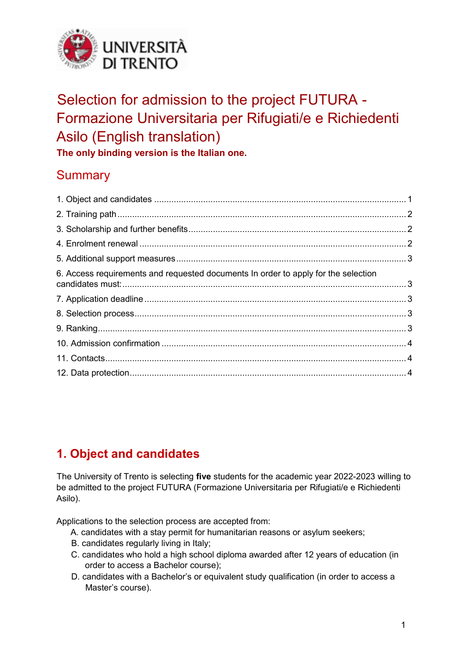

# Selection for admission to the project FUTURA - Formazione Universitaria per Rifugiati/e e Richiedenti Asilo (English translation)

**The only binding version is the Italian one.** 

# **Summary**

| 6. Access requirements and requested documents In order to apply for the selection |  |
|------------------------------------------------------------------------------------|--|
|                                                                                    |  |
|                                                                                    |  |
|                                                                                    |  |
|                                                                                    |  |
|                                                                                    |  |
|                                                                                    |  |
|                                                                                    |  |

# <span id="page-0-0"></span>**1. Object and candidates**

The University of Trento is selecting **five** students for the academic year 2022-2023 willing to be admitted to the project FUTURA (Formazione Universitaria per Rifugiati/e e Richiedenti Asilo).

Applications to the selection process are accepted from:

- A. candidates with a stay permit for humanitarian reasons or asylum seekers;
- B. candidates regularly living in Italy;
- C. candidates who hold a high school diploma awarded after 12 years of education (in order to access a Bachelor course);
- D. candidates with a Bachelor's or equivalent study qualification (in order to access a Master's course).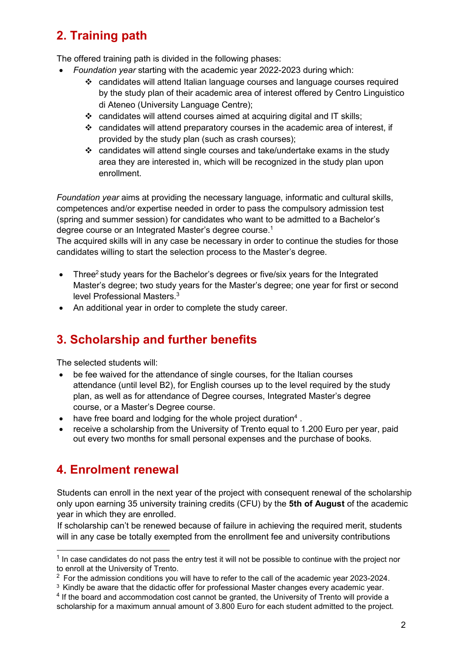# <span id="page-1-0"></span>**2. Training path**

The offered training path is divided in the following phases:

- *Foundation year* starting with the academic year 2022-2023 during which:
	- ❖ candidates will attend Italian language courses and language courses required by the study plan of their academic area of interest offered by Centro Linguistico di Ateneo (University Language Centre);
	- ❖ candidates will attend courses aimed at acquiring digital and IT skills;
	- ❖ candidates will attend preparatory courses in the academic area of interest, if provided by the study plan (such as crash courses);
	- ❖ candidates will attend single courses and take/undertake exams in the study area they are interested in, which will be recognized in the study plan upon enrollment.

*Foundation year* aims at providing the necessary language, informatic and cultural skills, competences and/or expertise needed in order to pass the compulsory admission test (spring and summer session) for candidates who want to be admitted to a Bachelor's degree course or an Integrated Master's degree course.<sup>1</sup>

The acquired skills will in any case be necessary in order to continue the studies for those candidates willing to start the selection process to the Master's degree.

- Three<sup>2</sup> study years for the Bachelor's degrees or five/six years for the Integrated Master's degree; two study years for the Master's degree; one year for first or second level Professional Masters.<sup>3</sup>
- <span id="page-1-1"></span>• An additional year in order to complete the study career.

### **3. Scholarship and further benefits**

The selected students will:

- be fee waived for the attendance of single courses, for the Italian courses attendance (until level B2), for English courses up to the level required by the study plan, as well as for attendance of Degree courses, Integrated Master's degree course, or a Master's Degree course.
- $\bullet$  have free board and lodging for the whole project duration<sup>4</sup>.
- receive a scholarship from the University of Trento equal to 1.200 Euro per year, paid out every two months for small personal expenses and the purchase of books.

### <span id="page-1-2"></span>**4. Enrolment renewal**

 $\overline{a}$ 

Students can enroll in the next year of the project with consequent renewal of the scholarship only upon earning 35 university training credits (CFU) by the **5th of August** of the academic year in which they are enrolled.

If scholarship can't be renewed because of failure in achieving the required merit, students will in any case be totally exempted from the enrollment fee and university contributions

 $1$  In case candidates do not pass the entry test it will not be possible to continue with the project nor to enroll at the University of Trento.

 $2$  For the admission conditions you will have to refer to the call of the academic year 2023-2024.

<sup>&</sup>lt;sup>3</sup> Kindly be aware that the didactic offer for professional Master changes every academic year.

 $4$  If the board and accommodation cost cannot be granted, the University of Trento will provide a scholarship for a maximum annual amount of 3.800 Euro for each student admitted to the project.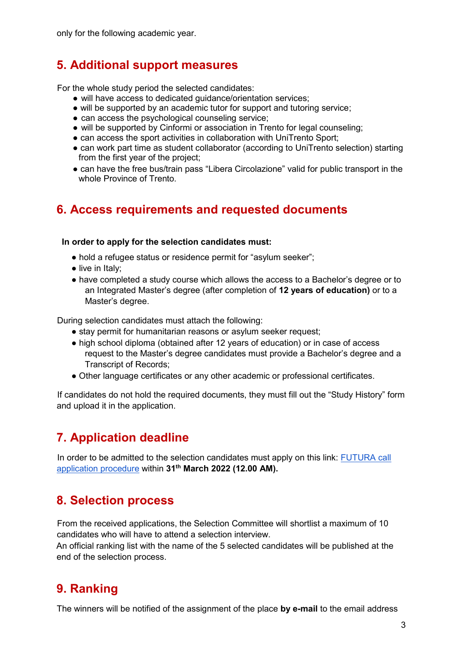<span id="page-2-0"></span>only for the following academic year.

### **5. Additional support measures**

For the whole study period the selected candidates:

- will have access to dedicated quidance/orientation services;
- will be supported by an academic tutor for support and tutoring service;
- can access the psychological counseling service;
- will be supported by Cinformi or association in Trento for legal counseling;
- can access the sport activities in collaboration with UniTrento Sport;
- can work part time as student collaborator (according to UniTrento selection) starting from the first year of the project;
- can have the free bus/train pass "Libera Circolazione" valid for public transport in the whole Province of Trento.

### <span id="page-2-1"></span>**6. Access requirements and requested documents**

#### **In order to apply for the selection candidates must:**

- hold a refugee status or residence permit for "asylum seeker";
- live in Italy;
- have completed a study course which allows the access to a Bachelor's degree or to an Integrated Master's degree (after completion of **12 years of education)** or to a Master's degree.

During selection candidates must attach the following:

- stay permit for humanitarian reasons or asylum seeker request;
- high school diploma (obtained after 12 years of education) or in case of access request to the Master's degree candidates must provide a Bachelor's degree and a Transcript of Records;
- Other language certificates or any other academic or professional certificates.

If candidates do not hold the required documents, they must fill out the "Study History" form and upload it in the application.

# <span id="page-2-2"></span>**7. Application deadline**

In order to be admitted to the selection candidates must apply on this link: FUTURA call [application procedure](https://webapps.unitn.it/Apply/en/MyUnitn/Home/53041/altro/FUTURA2022) within **31th March 2022 (12.00 AM).**

### <span id="page-2-3"></span>**8. Selection process**

From the received applications, the Selection Committee will shortlist a maximum of 10 candidates who will have to attend a selection interview.

An official ranking list with the name of the 5 selected candidates will be published at the end of the selection process.

### <span id="page-2-4"></span>**9. Ranking**

The winners will be notified of the assignment of the place **by e-mail** to the email address